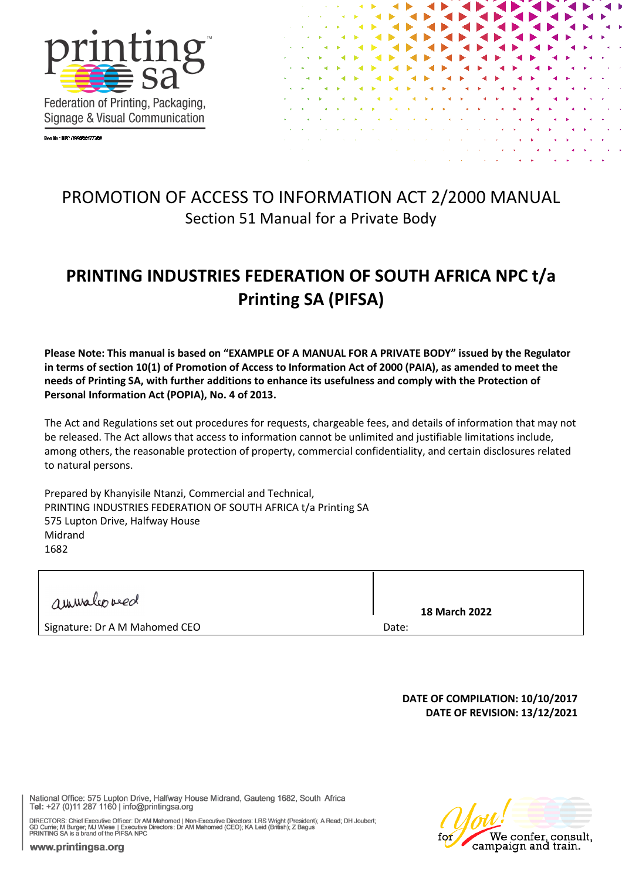

Reg No.: NPC (1990/001772/08



# PROMOTION OF ACCESS TO INFORMATION ACT 2/2000 MANUAL Section 51 Manual for a Private Body

# **PRINTING INDUSTRIES FEDERATION OF SOUTH AFRICA NPC t/a Printing SA (PIFSA)**

**Please Note: This manual is based on "EXAMPLE OF A MANUAL FOR A PRIVATE BODY" issued by the Regulator in terms of section 10(1) of Promotion of Access to Information Act of 2000 (PAIA), as amended to meet the needs of Printing SA, with further additions to enhance its usefulness and comply with the Protection of Personal Information Act (POPIA), No. 4 of 2013.**

The Act and Regulations set out procedures for requests, chargeable fees, and details of information that may not be released. The Act allows that access to information cannot be unlimited and justifiable limitations include, among others, the reasonable protection of property, commercial confidentiality, and certain disclosures related to natural persons.

Prepared by Khanyisile Ntanzi, Commercial and Technical, PRINTING INDUSTRIES FEDERATION OF SOUTH AFRICA t/a Printing SA 575 Lupton Drive, Halfway House Midrand 1682

| aurualeoved                   | <b>18 March 2022</b> |
|-------------------------------|----------------------|
| Signature: Dr A M Mahomed CEO | Date:                |
|                               |                      |

#### **DATE OF COMPILATION: 10/10/2017 DATE OF REVISION: 13/12/2021**

National Office: 575 Lupton Drive, Halfway House Midrand, Gauteng 1682, South Africa Tel: +27 (0)11 287 1160 | info@printingsa.org

DIRECTORS: Chief Executive Officer: Dr AM Mahomed | Non-Executive Directors: LRS Wright (President); A Read; DH Joubert;<br>GD Currie; M Burger; MJ Wiese | Executive Directors: Dr AM Mahomed (CEO); KA Leid (British); Z Bagus<br>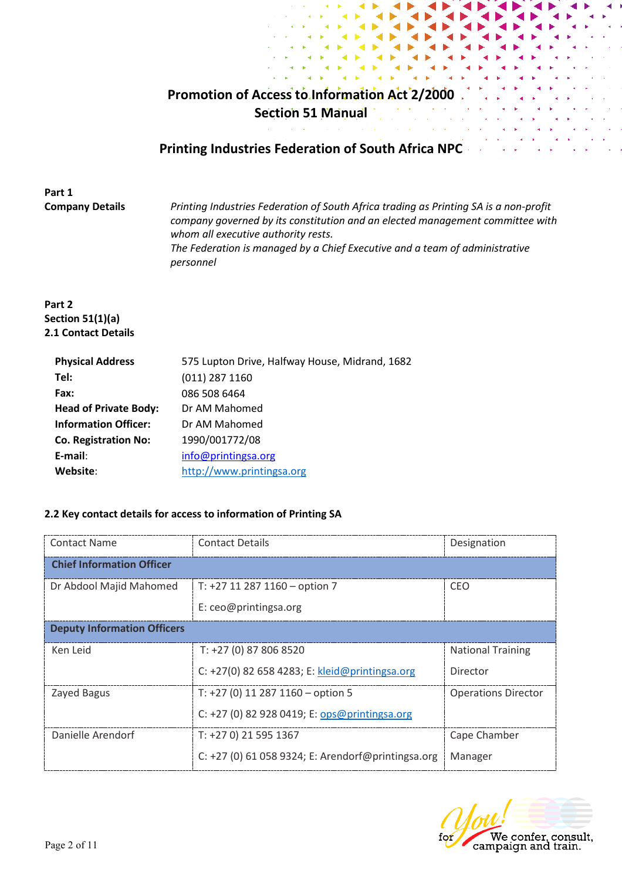# **Promotion of Access to Information Act 2/2000 Section 51 Manual**

# **Printing Industries Federation of South Africa NPC**

**Part 1**

**Company Details** *Printing Industries Federation of South Africa trading as Printing SA is a non-profit company governed by its constitution and an elected management committee with whom all executive authority rests. The Federation is managed by a Chief Executive and a team of administrative personnel*

#### **Part 2 Section 51(1)(a) 2.1 Contact Details**

| <b>Physical Address</b>      | 575 Lupton Drive, Halfway House, Midrand, 1682 |
|------------------------------|------------------------------------------------|
| Tel:                         | $(011)$ 287 1160                               |
| Fax:                         | 086 508 6464                                   |
| <b>Head of Private Body:</b> | Dr AM Mahomed                                  |
| <b>Information Officer:</b>  | Dr AM Mahomed                                  |
| <b>Co. Registration No:</b>  | 1990/001772/08                                 |
| E-mail:                      | info@printingsa.org                            |
| Website:                     | http://www.printingsa.org                      |

#### **2.2 Key contact details for access to information of Printing SA**

| <b>Contact Name</b>                | <b>Contact Details</b>                             | Designation                |  |
|------------------------------------|----------------------------------------------------|----------------------------|--|
| <b>Chief Information Officer</b>   |                                                    |                            |  |
| Dr Abdool Majid Mahomed            | T: +27 11 287 1160 - option 7                      | <b>CEO</b>                 |  |
|                                    | E: ceo@printingsa.org                              |                            |  |
| <b>Deputy Information Officers</b> |                                                    |                            |  |
| Ken Leid                           | T: +27 (0) 87 806 8520                             | <b>National Training</b>   |  |
|                                    | C: +27(0) 82 658 4283; E: kleid@printingsa.org     | Director                   |  |
| Zayed Bagus                        | T: $+27$ (0) 11 287 1160 - option 5                | <b>Operations Director</b> |  |
|                                    | C: +27 (0) 82 928 0419; E: ops@printingsa.org      |                            |  |
| Danielle Arendorf                  | T: +27 0) 21 595 1367                              | Cape Chamber               |  |
|                                    | C: +27 (0) 61 058 9324; E: Arendorf@printingsa.org | Manager                    |  |

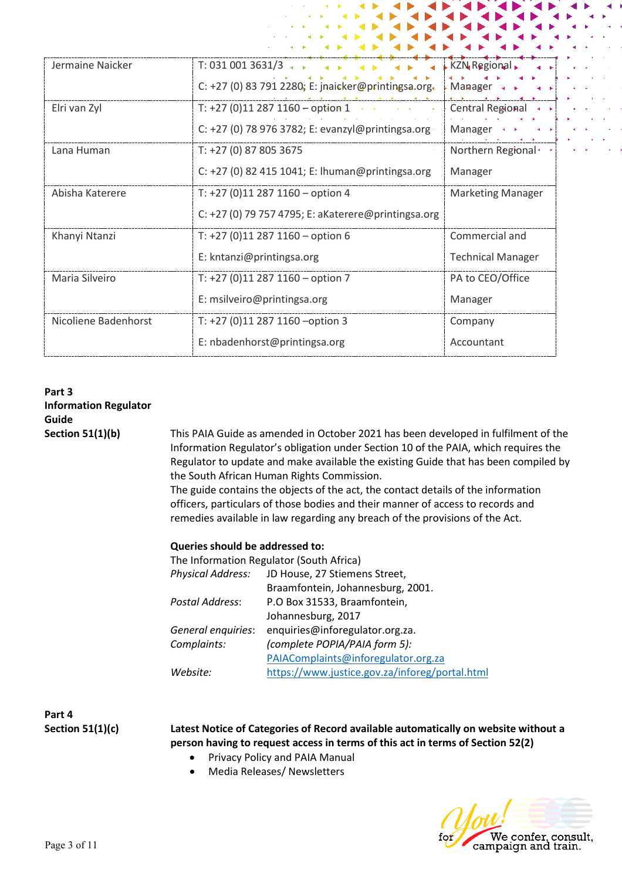| Jermaine Naicker     | T: 031 001 3631/3                                   | <b>KZN</b> Regional                |
|----------------------|-----------------------------------------------------|------------------------------------|
|                      | C: +27 (0) 83 791 2280; E: jnaicker@printingsa.org. | $-Manager \rightarrow \rightarrow$ |
| Elri van Zyl         | T: +27 (0)11 287 1160 - option 1                    | <b>Central Regional</b>            |
|                      | C: +27 (0) 78 976 3782; E: evanzyl@printingsa.org   | Manager                            |
| Lana Human           | T: +27 (0) 87 805 3675                              | Northern Regional                  |
|                      | C: +27 (0) 82 415 1041; E: lhuman@printingsa.org    | Manager                            |
| Abisha Katerere      | T: $+27$ (0)11 287 1160 - option 4                  | <b>Marketing Manager</b>           |
|                      | C: +27 (0) 79 757 4795; E: aKaterere@printingsa.org |                                    |
| Khanyi Ntanzi        | T: +27 (0)11 287 1160 - option 6                    | Commercial and                     |
|                      | E: kntanzi@printingsa.org                           | <b>Technical Manager</b>           |
| Maria Silveiro       | T: +27 (0)11 287 1160 - option 7                    | PA to CEO/Office                   |
|                      | E: msilveiro@printingsa.org                         | Manager                            |
| Nicoliene Badenhorst | T: $+27$ (0)11 287 1160 - option 3                  | Company                            |
|                      | E: nbadenhorst@printingsa.org                       | Accountant                         |

# **Part 3 Information Regulator Guide**

**Section 51(1)(b)** This PAIA Guide as amended in October 2021 has been developed in fulfilment of the Information Regulator's obligation under Section 10 of the PAIA, which requires the Regulator to update and make available the existing Guide that has been compiled by the South African Human Rights Commission.

> The guide contains the objects of the act, the contact details of the information officers, particulars of those bodies and their manner of access to records and remedies available in law regarding any breach of the provisions of the Act.

| Queries should be addressed to: |                                          |
|---------------------------------|------------------------------------------|
|                                 | The Information Regulator (South Africa) |
| <b>Physical Address:</b>        | JD House, 27 Stiemens Street,            |
|                                 | Braamfontein, Johannesburg, 2001.        |
| Postal Address:                 | P.O Box 31533, Braamfontein,             |
|                                 | Johannesburg, 2017                       |
| General enquiries:              | enquiries@inforegulator.org.za.          |
| Complaints:                     | (complete POPIA/PAIA form 5):            |
|                                 | PAIAComplaints@inforegulator.org.za      |

*Website:* <https://www.justice.gov.za/inforeg/portal.html>

**Part 4**

**Section 51(1)(c) Latest Notice of Categories of Record available automatically on website without a person having to request access in terms of this act in terms of Section 52(2)**

- Privacy Policy and PAIA Manual
- Media Releases/ Newsletters

We confer, consult,<br>campaign and train.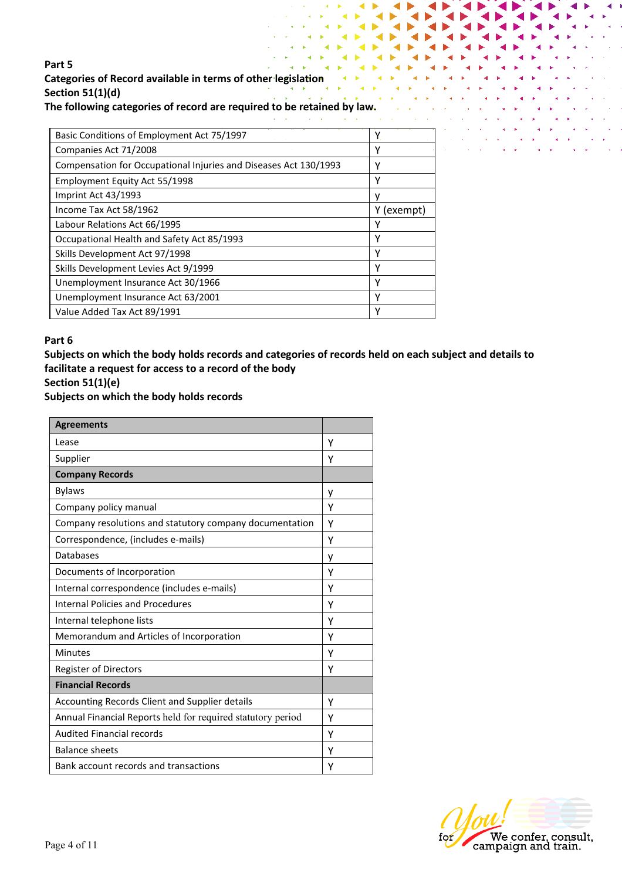# **Part 5 Categories of Record available in terms of other legislation Section 51(1)(d)**

**The following categories of record are required to be retained by law.**

| Basic Conditions of Employment Act 75/1997                       | Υ          |
|------------------------------------------------------------------|------------|
| Companies Act 71/2008                                            | γ          |
| Compensation for Occupational Injuries and Diseases Act 130/1993 | Υ          |
| Employment Equity Act 55/1998                                    | Υ          |
| Imprint Act 43/1993                                              | ν          |
| Income Tax Act 58/1962                                           | Y (exempt) |
| Labour Relations Act 66/1995                                     | Υ          |
| Occupational Health and Safety Act 85/1993                       | Υ          |
| Skills Development Act 97/1998                                   | Υ          |
| Skills Development Levies Act 9/1999                             | v          |
| Unemployment Insurance Act 30/1966                               | ٧          |
| Unemployment Insurance Act 63/2001                               | Υ          |
| Value Added Tax Act 89/1991                                      | ٧          |

#### **Part 6**

**Subjects on which the body holds records and categories of records held on each subject and details to facilitate a request for access to a record of the body**

# **Section 51(1)(e)**

**Subjects on which the body holds records** 

| <b>Agreements</b>                                           |   |
|-------------------------------------------------------------|---|
| Lease                                                       | Υ |
| Supplier                                                    | Υ |
| <b>Company Records</b>                                      |   |
| <b>Bylaws</b>                                               | у |
| Company policy manual                                       | Υ |
| Company resolutions and statutory company documentation     | Υ |
| Correspondence, (includes e-mails)                          | Υ |
| Databases                                                   | у |
| Documents of Incorporation                                  | Υ |
| Internal correspondence (includes e-mails)                  | Υ |
| Internal Policies and Procedures                            | Υ |
| Internal telephone lists                                    | Υ |
| Memorandum and Articles of Incorporation                    | Υ |
| <b>Minutes</b>                                              | Υ |
| <b>Register of Directors</b>                                | Υ |
| <b>Financial Records</b>                                    |   |
| Accounting Records Client and Supplier details              | Υ |
| Annual Financial Reports held for required statutory period | Υ |
| <b>Audited Financial records</b>                            | Υ |
| <b>Balance sheets</b>                                       | Υ |
| Bank account records and transactions                       | Υ |

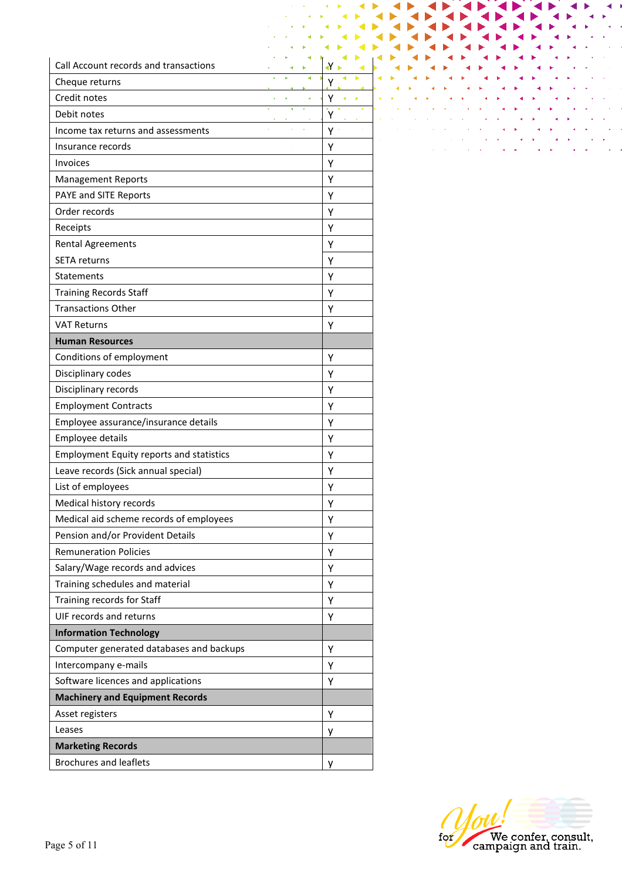| Call Account records and transactions           |  |         |  |
|-------------------------------------------------|--|---------|--|
| Cheque returns                                  |  | Υ       |  |
| Credit notes                                    |  | Y<br>j. |  |
| Debit notes                                     |  | Υ       |  |
| Income tax returns and assessments              |  | Y.      |  |
| Insurance records                               |  | Υ       |  |
| <b>Invoices</b>                                 |  | Υ       |  |
| <b>Management Reports</b>                       |  | Υ       |  |
| PAYE and SITE Reports                           |  | Υ       |  |
| Order records                                   |  | Υ       |  |
| Receipts                                        |  | Υ       |  |
| <b>Rental Agreements</b>                        |  | Y       |  |
| <b>SETA returns</b>                             |  | Υ       |  |
| Statements                                      |  | Υ       |  |
| <b>Training Records Staff</b>                   |  | Υ       |  |
| <b>Transactions Other</b>                       |  | Υ       |  |
| <b>VAT Returns</b>                              |  | Υ       |  |
| <b>Human Resources</b>                          |  |         |  |
| Conditions of employment                        |  | Υ       |  |
| Disciplinary codes                              |  | Υ       |  |
| Disciplinary records                            |  | Υ       |  |
| <b>Employment Contracts</b>                     |  | Υ       |  |
| Employee assurance/insurance details            |  | Υ       |  |
| <b>Employee details</b>                         |  | Υ       |  |
| <b>Employment Equity reports and statistics</b> |  | Υ       |  |
| Leave records (Sick annual special)             |  | Y       |  |
| List of employees                               |  | Υ       |  |
| Medical history records                         |  | Υ       |  |
| Medical aid scheme records of employees         |  | Υ       |  |
| Pension and/or Provident Details                |  | Υ       |  |
| <b>Remuneration Policies</b>                    |  | Υ       |  |
| Salary/Wage records and advices                 |  | Υ       |  |
| Training schedules and material                 |  | Υ       |  |
| Training records for Staff                      |  | Υ       |  |
| UIF records and returns                         |  | Υ       |  |
| <b>Information Technology</b>                   |  |         |  |
| Computer generated databases and backups        |  | Υ       |  |
| Intercompany e-mails                            |  | Υ       |  |
| Software licences and applications              |  | Υ       |  |
| <b>Machinery and Equipment Records</b>          |  |         |  |
| Asset registers                                 |  | Υ       |  |
| Leases                                          |  | у       |  |
| <b>Marketing Records</b>                        |  |         |  |
| <b>Brochures and leaflets</b>                   |  | y       |  |

|  | <b>CONTINUES IN THE RESIDENT OF A RESIDENT OF A RESIDENT OF A RESIDENT OF A RESIDENT OF A RESIDENT OF A RESIDENT</b>                                                                                                          |  |  |  |  |                   |
|--|-------------------------------------------------------------------------------------------------------------------------------------------------------------------------------------------------------------------------------|--|--|--|--|-------------------|
|  |                                                                                                                                                                                                                               |  |  |  |  |                   |
|  | and the state of the state of the state of the state of the state of the state of the state of the state of the                                                                                                               |  |  |  |  |                   |
|  | and the contract of the contract of the contract of the contract of the contract of the contract of the contract of                                                                                                           |  |  |  |  |                   |
|  | the contract of the contract of the contract of the contract of the contract of the contract of the contract of                                                                                                               |  |  |  |  |                   |
|  | which is a strong of the control of the control of the control of the control of the control of the control of                                                                                                                |  |  |  |  | <b>Contractor</b> |
|  | the control of the control of the control of the control of the control of the control of the control of the control of the control of the control of the control of the control of the control of the control of the control |  |  |  |  |                   |
|  | the control of the control of the control of the control of the control of the control of                                                                                                                                     |  |  |  |  |                   |
|  |                                                                                                                                                                                                                               |  |  |  |  |                   |

◀

∢

◀

◀

₫ ۸

 $\blacktriangleleft$ D

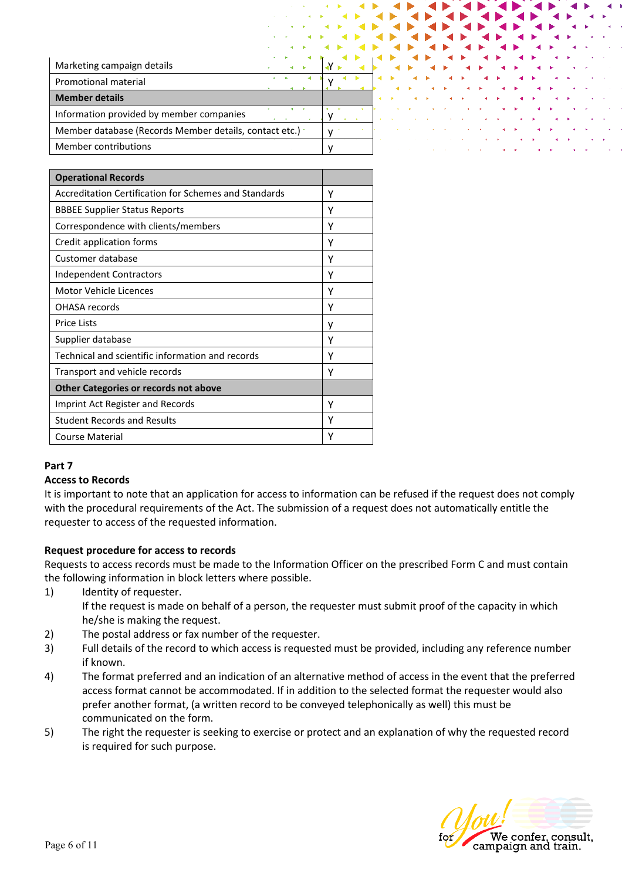| Marketing campaign details                             |  |
|--------------------------------------------------------|--|
| <b>Promotional material</b>                            |  |
| <b>Member details</b>                                  |  |
| Information provided by member companies               |  |
| Member database (Records Member details, contact etc.) |  |
| Member contributions                                   |  |

| <b>Operational Records</b>                            |   |
|-------------------------------------------------------|---|
| Accreditation Certification for Schemes and Standards | Υ |
| <b>BBBEE Supplier Status Reports</b>                  | Υ |
| Correspondence with clients/members                   | Υ |
| Credit application forms                              | Υ |
| Customer database                                     | γ |
| Independent Contractors                               | Υ |
| Motor Vehicle Licences                                | Υ |
| OHASA records                                         | Υ |
| <b>Price Lists</b>                                    | ٧ |
| Supplier database                                     | Υ |
| Technical and scientific information and records      | γ |
| Transport and vehicle records                         | γ |
| <b>Other Categories or records not above</b>          |   |
| Imprint Act Register and Records                      | Υ |
| <b>Student Records and Results</b>                    | Υ |
| Course Material                                       | γ |

#### **Part 7**

#### **Access to Records**

It is important to note that an application for access to information can be refused if the request does not comply with the procedural requirements of the Act. The submission of a request does not automatically entitle the requester to access of the requested information.

#### **Request procedure for access to records**

Requests to access records must be made to the Information Officer on the prescribed Form C and must contain the following information in block letters where possible.

1) Identity of requester.

If the request is made on behalf of a person, the requester must submit proof of the capacity in which he/she is making the request.

- 2) The postal address or fax number of the requester.
- 3) Full details of the record to which access is requested must be provided, including any reference number if known.
- 4) The format preferred and an indication of an alternative method of access in the event that the preferred access format cannot be accommodated. If in addition to the selected format the requester would also prefer another format, (a written record to be conveyed telephonically as well) this must be communicated on the form.
- 5) The right the requester is seeking to exercise or protect and an explanation of why the requested record is required for such purpose.

We confer, consult,<br>campaign and train.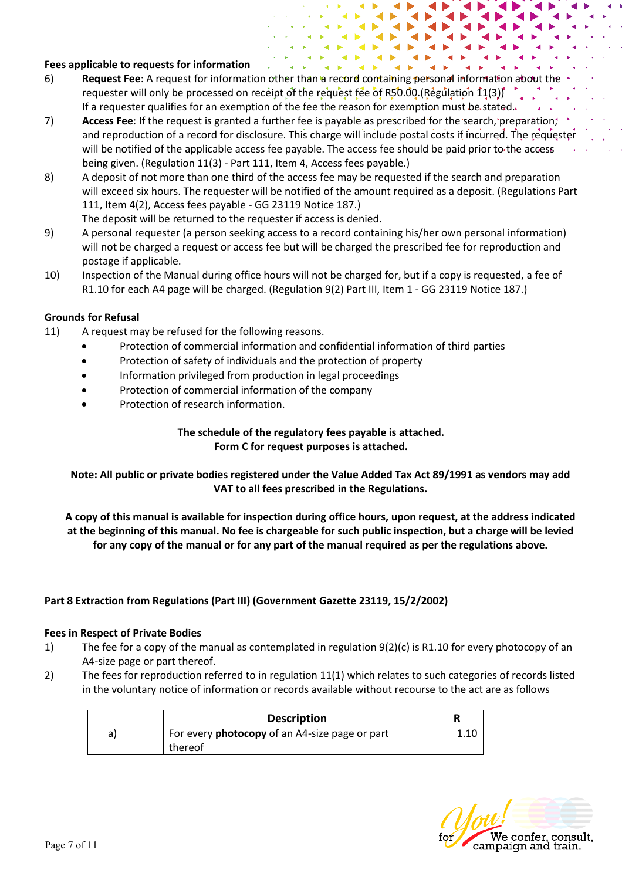#### **Fees applicable to requests for information**

- 6) **Request Fee**: A request for information other than a record containing personal information about the requester will only be processed on receipt of the request fee of R50.00.(Regulation  $11(3)$ ) If a requester qualifies for an exemption of the fee the reason for exemption must be stated.
- 7) **Access Fee**: If the request is granted a further fee is payable as prescribed for the search, preparation, and reproduction of a record for disclosure. This charge will include postal costs if incurred. The requester will be notified of the applicable access fee payable. The access fee should be paid prior to the access being given. (Regulation 11(3) - Part 111, Item 4, Access fees payable.)
- 8) A deposit of not more than one third of the access fee may be requested if the search and preparation will exceed six hours. The requester will be notified of the amount required as a deposit. (Regulations Part 111, Item 4(2), Access fees payable - GG 23119 Notice 187.) The deposit will be returned to the requester if access is denied.
- 9) A personal requester (a person seeking access to a record containing his/her own personal information) will not be charged a request or access fee but will be charged the prescribed fee for reproduction and postage if applicable.
- 10) Inspection of the Manual during office hours will not be charged for, but if a copy is requested, a fee of R1.10 for each A4 page will be charged. (Regulation 9(2) Part III, Item 1 - GG 23119 Notice 187.)

#### **Grounds for Refusal**

- 11) A request may be refused for the following reasons.
	- Protection of commercial information and confidential information of third parties
	- Protection of safety of individuals and the protection of property
	- Information privileged from production in legal proceedings
	- Protection of commercial information of the company
	- Protection of research information.

#### **The schedule of the regulatory fees payable is attached. Form C for request purposes is attached.**

**Note: All public or private bodies registered under the Value Added Tax Act 89/1991 as vendors may add VAT to all fees prescribed in the Regulations.**

**A copy of this manual is available for inspection during office hours, upon request, at the address indicated at the beginning of this manual. No fee is chargeable for such public inspection, but a charge will be levied for any copy of the manual or for any part of the manual required as per the regulations above.**

#### **Part 8 Extraction from Regulations (Part III) (Government Gazette 23119, 15/2/2002)**

#### **Fees in Respect of Private Bodies**

- 1) The fee for a copy of the manual as contemplated in regulation 9(2)(c) is R1.10 for every photocopy of an A4-size page or part thereof.
- 2) The fees for reproduction referred to in regulation 11(1) which relates to such categories of records listed in the voluntary notice of information or records available without recourse to the act are as follows

|    | <b>Description</b>                                    |      |
|----|-------------------------------------------------------|------|
| a) | For every <b>photocopy</b> of an A4-size page or part | 1.10 |
|    | thereof                                               |      |

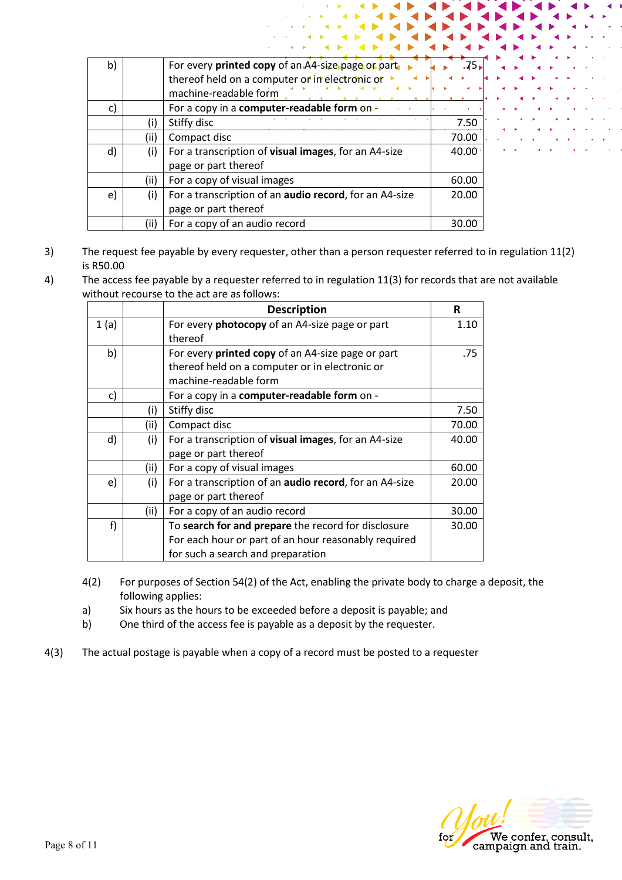| b) |      | For every printed copy of an A4-size page or part      | .75⊾  |
|----|------|--------------------------------------------------------|-------|
|    |      | thereof held on a computer or in electronic or         |       |
|    |      | machine-readable form                                  |       |
| c) |      | For a copy in a computer-readable form on-             |       |
|    |      | Stiffy disc                                            | 7.50  |
|    | (ii) | Compact disc                                           | 70.00 |
| d) | (i)  | For a transcription of visual images, for an A4-size   | 40.00 |
|    |      | page or part thereof                                   |       |
|    | (ii) | For a copy of visual images                            | 60.00 |
| e) | (i)  | For a transcription of an audio record, for an A4-size | 20.00 |
|    |      | page or part thereof                                   |       |
|    | (ii) | For a copy of an audio record                          | 30.   |

- 3) The request fee payable by every requester, other than a person requester referred to in regulation 11(2) is R50.00
- 4) The access fee payable by a requester referred to in regulation 11(3) for records that are not available without recourse to the act are as follows:

|      |      | <b>Description</b>                                     | R     |
|------|------|--------------------------------------------------------|-------|
| 1(a) |      | For every photocopy of an A4-size page or part         | 1.10  |
|      |      | thereof                                                |       |
| b)   |      | For every printed copy of an A4-size page or part      | .75   |
|      |      | thereof held on a computer or in electronic or         |       |
|      |      | machine-readable form                                  |       |
| c)   |      | For a copy in a computer-readable form on -            |       |
|      | (i)  | Stiffy disc                                            | 7.50  |
|      | (ii) | Compact disc                                           | 70.00 |
| d)   | (i)  | For a transcription of visual images, for an A4-size   | 40.00 |
|      |      | page or part thereof                                   |       |
|      | (ii) | For a copy of visual images                            | 60.00 |
| e)   | (i)  | For a transcription of an audio record, for an A4-size | 20.00 |
|      |      | page or part thereof                                   |       |
|      | (ii) | For a copy of an audio record                          | 30.00 |
| f)   |      | To search for and prepare the record for disclosure    | 30.00 |
|      |      | For each hour or part of an hour reasonably required   |       |
|      |      | for such a search and preparation                      |       |

- 4(2) For purposes of Section 54(2) of the Act, enabling the private body to charge a deposit, the following applies:
- a) Six hours as the hours to be exceeded before a deposit is payable; and
- b) One third of the access fee is payable as a deposit by the requester.
- 4(3) The actual postage is payable when a copy of a record must be posted to a requester

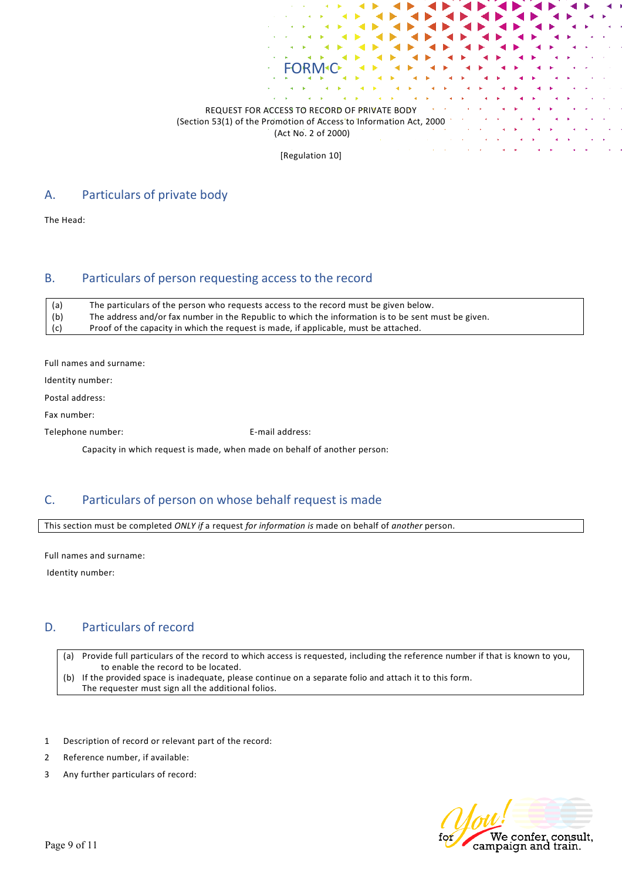#### REQUEST FOR ACCESS TO RECORD OF PRIVATE BODY (Section 53(1) of the Promotion of Access to Information Act, 2000 (Act No. 2 of 2000)

FORM<sup>-</sup>C

[Regulation 10]

## A. Particulars of private body

The Head:

### B. Particulars of person requesting access to the record

| (a) | The particulars of the person who requests access to the record must be given below.                |
|-----|-----------------------------------------------------------------------------------------------------|
| (b) | The address and/or fax number in the Republic to which the information is to be sent must be given. |
| (c) | Proof of the capacity in which the request is made, if applicable, must be attached.                |

Full names and surname:

Identity number:

Postal address:

Fax number:

Telephone number: E-mail address:

Capacity in which request is made, when made on behalf of another person:

## C. Particulars of person on whose behalf request is made

This section must be completed *ONLY if* a request *for information is* made on behalf of *another* person.

Full names and surname:

Identity number:

## D. Particulars of record

(a) Provide full particulars of the record to which access is requested, including the reference number if that is known to you, to enable the record to be located.

(b) If the provided space is inadequate, please continue on a separate folio and attach it to this form. The requester must sign all the additional folios.

- 1 Description of record or relevant part of the record:
- 2 Reference number, if available:
- 3 Any further particulars of record:

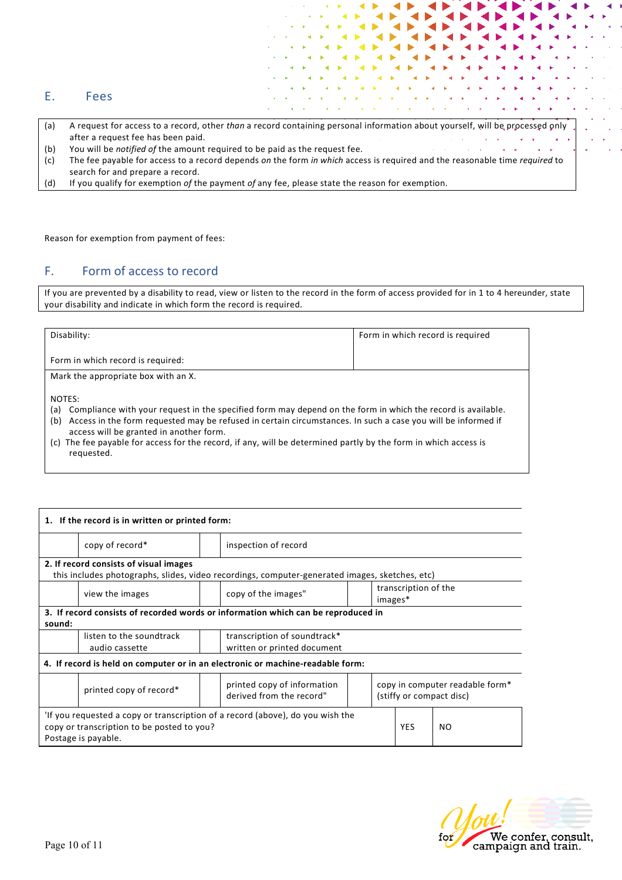|  | ⊃∩י<br>c |
|--|----------|
|--|----------|

- (a) A request for access to a record, other *than* a record containing personal information about yourself, will be processed only after a request fee has been paid.
- (b) You will be *notified of* the amount required to be paid as the request fee.
- (c) The fee payable for access to a record depends *on* the form *in which* access is required and the reasonable time *required* to search for and prepare a record.
- (d) If you qualify for exemption *of* the payment *of* any fee, please state the reason for exemption.

Reason for exemption from payment of fees:

## F. Form of access to record

If you are prevented by a disability to read, view or listen to the record in the form of access provided for in 1 to 4 hereunder, state your disability and indicate in which form the record is required.

| Disability:                                                                                                                                                                                                                                                                                                                                                                                                                  | Form in which record is required |  |  |
|------------------------------------------------------------------------------------------------------------------------------------------------------------------------------------------------------------------------------------------------------------------------------------------------------------------------------------------------------------------------------------------------------------------------------|----------------------------------|--|--|
| Form in which record is required:                                                                                                                                                                                                                                                                                                                                                                                            |                                  |  |  |
| Mark the appropriate box with an X.                                                                                                                                                                                                                                                                                                                                                                                          |                                  |  |  |
| NOTES:<br>(a) Compliance with your request in the specified form may depend on the form in which the record is available.<br>Access in the form requested may be refused in certain circumstances. In such a case you will be informed if<br>(b)<br>access will be granted in another form.<br>(c) The fee payable for access for the record, if any, will be determined partly by the form in which access is<br>requested. |                                  |  |  |

| 1. If the record is in written or printed form:                                                                                                     |                                                                                                           |                      |                                                                                                |            |                                                             |  |
|-----------------------------------------------------------------------------------------------------------------------------------------------------|-----------------------------------------------------------------------------------------------------------|----------------------|------------------------------------------------------------------------------------------------|------------|-------------------------------------------------------------|--|
|                                                                                                                                                     | copy of record*                                                                                           | inspection of record |                                                                                                |            |                                                             |  |
|                                                                                                                                                     | 2. If record consists of visual images                                                                    |                      |                                                                                                |            |                                                             |  |
|                                                                                                                                                     |                                                                                                           |                      | this includes photographs, slides, video recordings, computer-generated images, sketches, etc) |            |                                                             |  |
|                                                                                                                                                     | view the images                                                                                           |                      | transcription of the<br>copy of the images"<br>images*                                         |            |                                                             |  |
| 3. If record consists of recorded words or information which can be reproduced in<br>sound:                                                         |                                                                                                           |                      |                                                                                                |            |                                                             |  |
|                                                                                                                                                     | listen to the soundtrack<br>transcription of soundtrack*<br>written or printed document<br>audio cassette |                      |                                                                                                |            |                                                             |  |
| 4. If record is held on computer or in an electronic or machine-readable form:                                                                      |                                                                                                           |                      |                                                                                                |            |                                                             |  |
|                                                                                                                                                     | printed copy of record*                                                                                   |                      | printed copy of information<br>derived from the record"                                        |            | copy in computer readable form*<br>(stiffy or compact disc) |  |
| 'If you requested a copy or transcription of a record (above), do you wish the<br>copy or transcription to be posted to you?<br>Postage is payable. |                                                                                                           |                      |                                                                                                | <b>YES</b> | NO.                                                         |  |